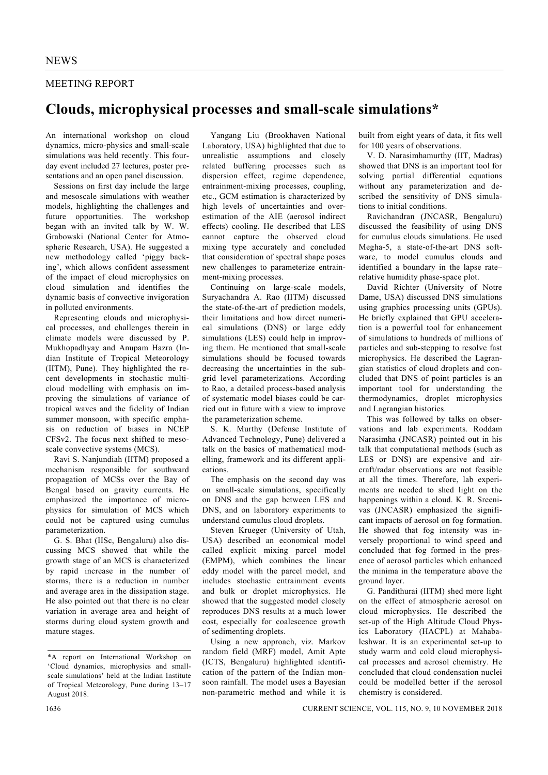## MEETING REPORT

## **Clouds, microphysical processes and small-scale simulations\***

An international workshop on cloud dynamics, micro-physics and small-scale simulations was held recently. This fourday event included 27 lectures, poster presentations and an open panel discussion.

 Sessions on first day include the large and mesoscale simulations with weather models, highlighting the challenges and future opportunities. The workshop began with an invited talk by W. W. Grabowski (National Center for Atmospheric Research, USA). He suggested a new methodology called 'piggy backing', which allows confident assessment of the impact of cloud microphysics on cloud simulation and identifies the dynamic basis of convective invigoration in polluted environments.

 Representing clouds and microphysical processes, and challenges therein in climate models were discussed by P. Mukhopadhyay and Anupam Hazra (Indian Institute of Tropical Meteorology (IITM), Pune). They highlighted the recent developments in stochastic multicloud modelling with emphasis on improving the simulations of variance of tropical waves and the fidelity of Indian summer monsoon, with specific emphasis on reduction of biases in NCEP CFSv2. The focus next shifted to mesoscale convective systems (MCS).

 Ravi S. Nanjundiah (IITM) proposed a mechanism responsible for southward propagation of MCSs over the Bay of Bengal based on gravity currents. He emphasized the importance of microphysics for simulation of MCS which could not be captured using cumulus parameterization.

 G. S. Bhat (IISc, Bengaluru) also discussing MCS showed that while the growth stage of an MCS is characterized by rapid increase in the number of storms, there is a reduction in number and average area in the dissipation stage. He also pointed out that there is no clear variation in average area and height of storms during cloud system growth and mature stages.

 Yangang Liu (Brookhaven National Laboratory, USA) highlighted that due to unrealistic assumptions and closely related buffering processes such as dispersion effect, regime dependence, entrainment-mixing processes, coupling, etc., GCM estimation is characterized by high levels of uncertainties and overestimation of the AIE (aerosol indirect effects) cooling. He described that LES cannot capture the observed cloud mixing type accurately and concluded that consideration of spectral shape poses new challenges to parameterize entrainment-mixing processes.

 Continuing on large-scale models, Suryachandra A. Rao (IITM) discussed the state-of-the-art of prediction models, their limitations and how direct numerical simulations (DNS) or large eddy simulations (LES) could help in improving them. He mentioned that small-scale simulations should be focused towards decreasing the uncertainties in the subgrid level parameterizations. According to Rao, a detailed process-based analysis of systematic model biases could be carried out in future with a view to improve the parameterization scheme.

 S. K. Murthy (Defense Institute of Advanced Technology, Pune) delivered a talk on the basics of mathematical modelling, framework and its different applications.

 The emphasis on the second day was on small-scale simulations, specifically on DNS and the gap between LES and DNS, and on laboratory experiments to understand cumulus cloud droplets.

 Steven Krueger (University of Utah, USA) described an economical model called explicit mixing parcel model (EMPM), which combines the linear eddy model with the parcel model, and includes stochastic entrainment events and bulk or droplet microphysics. He showed that the suggested model closely reproduces DNS results at a much lower cost, especially for coalescence growth of sedimenting droplets.

 Using a new approach, viz. Markov random field (MRF) model, Amit Apte (ICTS, Bengaluru) highlighted identification of the pattern of the Indian monsoon rainfall. The model uses a Bayesian non-parametric method and while it is built from eight years of data, it fits well for 100 years of observations.

 V. D. Narasimhamurthy (IIT, Madras) showed that DNS is an important tool for solving partial differential equations without any parameterization and described the sensitivity of DNS simulations to initial conditions.

 Ravichandran (JNCASR, Bengaluru) discussed the feasibility of using DNS for cumulus clouds simulations. He used Megha-5, a state-of-the-art DNS software, to model cumulus clouds and identified a boundary in the lapse rate– relative humidity phase-space plot.

 David Richter (University of Notre Dame, USA) discussed DNS simulations using graphics processing units (GPUs). He briefly explained that GPU acceleration is a powerful tool for enhancement of simulations to hundreds of millions of particles and sub-stepping to resolve fast microphysics. He described the Lagrangian statistics of cloud droplets and concluded that DNS of point particles is an important tool for understanding the thermodynamics, droplet microphysics and Lagrangian histories.

 This was followed by talks on observations and lab experiments. Roddam Narasimha (JNCASR) pointed out in his talk that computational methods (such as LES or DNS) are expensive and aircraft/radar observations are not feasible at all the times. Therefore, lab experiments are needed to shed light on the happenings within a cloud. K. R. Sreenivas (JNCASR) emphasized the significant impacts of aerosol on fog formation. He showed that fog intensity was inversely proportional to wind speed and concluded that fog formed in the presence of aerosol particles which enhanced the minima in the temperature above the ground layer.

 G. Pandithurai (IITM) shed more light on the effect of atmospheric aerosol on cloud microphysics. He described the set-up of the High Altitude Cloud Physics Laboratory (HACPL) at Mahabaleshwar. It is an experimental set-up to study warm and cold cloud microphysical processes and aerosol chemistry. He concluded that cloud condensation nuclei could be modelled better if the aerosol chemistry is considered.

<sup>\*</sup>A report on International Workshop on 'Cloud dynamics, microphysics and smallscale simulations' held at the Indian Institute of Tropical Meteorology, Pune during 13–17 August 2018.